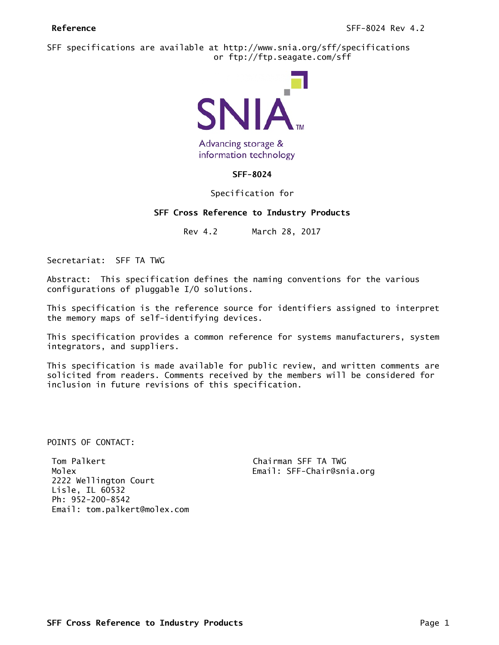SFF specifications are available at http://www.snia.org/sff/specifications or ftp://ftp.seagate.com/sff



Advancing storage & information technology

# **SFF-8024**

# Specification for

# **SFF Cross Reference to Industry Products**

Rev 4.2 March 28, 2017

Secretariat: SFF TA TWG

Abstract: This specification defines the naming conventions for the various configurations of pluggable I/O solutions.

This specification is the reference source for identifiers assigned to interpret the memory maps of self-identifying devices.

This specification provides a common reference for systems manufacturers, system integrators, and suppliers.

This specification is made available for public review, and written comments are solicited from readers. Comments received by the members will be considered for inclusion in future revisions of this specification.

POINTS OF CONTACT:

Tom Palkert Chairman SFF TA TWG Molex Email: SFF-Chair@snia.org 2222 Wellington Court Lisle, IL 60532 Ph: 952-200-8542 Email: tom.palkert@molex.com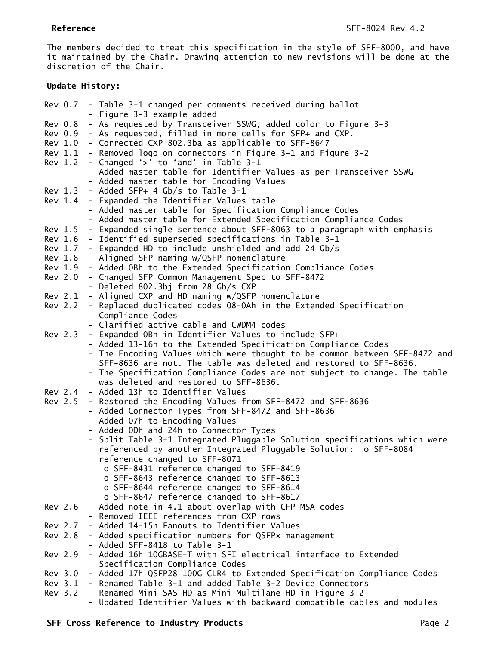The members decided to treat this specification in the style of SFF-8000, and have it maintained by the Chair. Drawing attention to new revisions will be done at the discretion of the Chair.

## **Update History:**

|         | Rev 0.7 - Table 3-1 changed per comments received during ballot                                                                                      |
|---------|------------------------------------------------------------------------------------------------------------------------------------------------------|
|         | - Figure 3-3 example added                                                                                                                           |
| Rev 0.8 | - As requested by Transceiver SSWG, added color to Figure 3-3                                                                                        |
|         | Rev 0.9 - As requested, filled in more cells for SFP+ and CXP.                                                                                       |
|         | Rev 1.0 - Corrected CXP 802.3ba as applicable to SFF-8647                                                                                            |
|         | Rev 1.1 - Removed logo on connectors in Figure 3-1 and Figure 3-2                                                                                    |
|         | Rev 1.2 - Changed '>' to 'and' in Table 3-1                                                                                                          |
|         | - Added master table for Identifier Values as per Transceiver SSWG                                                                                   |
|         | - Added master table for Encoding Values                                                                                                             |
| Rev 1.3 | - Added SFP+ 4 Gb/s to Table 3-1                                                                                                                     |
| Rev 1.4 | - Expanded the Identifier Values table                                                                                                               |
|         | - Added master table for Specification Compliance Codes                                                                                              |
|         | - Added master table for Extended Specification Compliance Codes                                                                                     |
| Rev 1.5 | - Expanded single sentence about SFF-8063 to a paragraph with emphasis                                                                               |
| Rev 1.6 | - Identified superseded specifications in Table 3-1                                                                                                  |
| Rev 1.7 | - Expanded HD to include unshielded and add 24 Gb/s                                                                                                  |
|         | Rev 1.8 - Aligned SFP naming w/QSFP nomenclature                                                                                                     |
|         | Rev 1.9 - Added OBh to the Extended Specification Compliance Codes                                                                                   |
| Rev 2.0 | - Changed SFP Common Management Spec to SFF-8472                                                                                                     |
|         | - Deleted 802.3bj from 28 Gb/s CXP                                                                                                                   |
| Rev 2.1 | - Aligned CXP and HD naming w/QSFP nomenclature                                                                                                      |
| Rev 2.2 | - Replaced duplicated codes 08-0Ah in the Extended Specification                                                                                     |
|         | Compliance Codes                                                                                                                                     |
|         | - Clarified active cable and CWDM4 codes                                                                                                             |
| Rev 2.3 | - Expanded OBh in Identifier Values to include SFP+                                                                                                  |
|         | - Added 13-16h to the Extended Specification Compliance Codes                                                                                        |
|         | - The Encoding Values which were thought to be common between SFF-8472 and                                                                           |
|         | SFF-8636 are not. The table was deleted and restored to SFF-8636.                                                                                    |
|         | - The Specification Compliance Codes are not subject to change. The table                                                                            |
|         | was deleted and restored to SFF-8636.                                                                                                                |
|         | Rev 2.4 - Added 13h to Identifier Values                                                                                                             |
| Rev 2.5 | - Restored the Encoding Values from SFF-8472 and SFF-8636                                                                                            |
|         | - Added Connector Types from SFF-8472 and SFF-8636                                                                                                   |
|         | - Added 07h to Encoding Values                                                                                                                       |
|         | - Added ODh and 24h to Connector Types                                                                                                               |
|         | - Split Table 3-1 Integrated Pluggable Solution specifications which were                                                                            |
|         | referenced by another Integrated Pluggable Solution: o SFF-8084                                                                                      |
|         | reference changed to SFF-8071                                                                                                                        |
|         | o SFF-8431 reference changed to SFF-8419                                                                                                             |
|         | o SFF-8643 reference changed to SFF-8613                                                                                                             |
|         | o SFF-8644 reference changed to SFF-8614                                                                                                             |
|         | o SFF-8647 reference changed to SFF-8617                                                                                                             |
|         | Rev 2.6 - Added note in 4.1 about overlap with CFP MSA codes                                                                                         |
|         | - Removed IEEE references from CXP rows                                                                                                              |
|         | Rev 2.7 - Added 14-15h Fanouts to Identifier Values                                                                                                  |
|         | Rev 2.8 - Added specification numbers for QSFPx management                                                                                           |
|         | - Added SFF-8418 to Table 3-1                                                                                                                        |
|         | Rev 2.9 - Added 16h 10GBASE-T with SFI electrical interface to Extended                                                                              |
|         | Specification Compliance Codes                                                                                                                       |
|         | Rev 3.0 - Added 17h QSFP28 100G CLR4 to Extended Specification Compliance Codes<br>Rev 3.1 - Renamed Table 3-1 and added Table 3-2 Device Connectors |
|         | Rev 3.2 - Renamed Mini-SAS HD as Mini Multilane HD in Figure 3-2                                                                                     |
|         | - Updated Identifier Values with backward compatible cables and modules                                                                              |
|         |                                                                                                                                                      |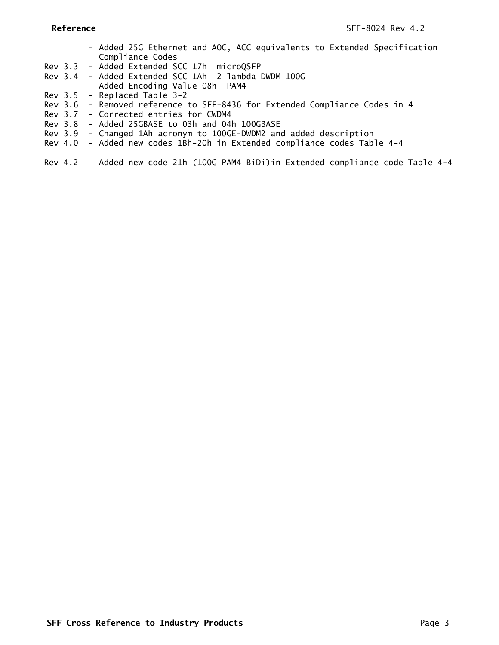- Added 25G Ethernet and AOC, ACC equivalents to Extended Specification Compliance Codes
- Rev 3.3 Added Extended SCC 17h microQSFP
- Rev 3.4 Added Extended SCC 1Ah 2 lambda DWDM 100G
- Added Encoding Value 08h PAM4
- Rev 3.5 Replaced Table 3-2
- Rev 3.6 Removed reference to SFF-8436 for Extended Compliance Codes in 4
- Rev 3.7 Corrected entries for CWDM4
- Rev 3.8 Added 25GBASE to 03h and 04h 100GBASE
- Rev 3.9 Changed 1Ah acronym to 100GE-DWDM2 and added description
- Rev 4.0 Added new codes 1Bh-20h in Extended compliance codes Table 4-4
- Rev 4.2 Added new code 21h (100G PAM4 BiDi)in Extended compliance code Table 4-4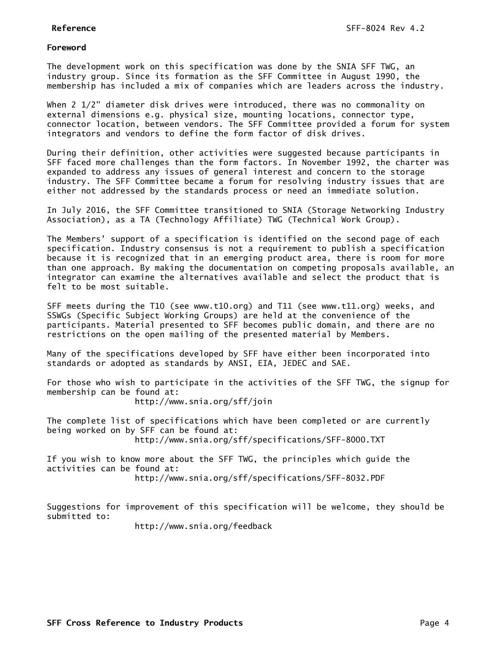## **Foreword**

The development work on this specification was done by the SNIA SFF TWG, an industry group. Since its formation as the SFF Committee in August 1990, the membership has included a mix of companies which are leaders across the industry.

When 2 1/2" diameter disk drives were introduced, there was no commonality on external dimensions e.g. physical size, mounting locations, connector type, connector location, between vendors. The SFF Committee provided a forum for system integrators and vendors to define the form factor of disk drives.

During their definition, other activities were suggested because participants in SFF faced more challenges than the form factors. In November 1992, the charter was expanded to address any issues of general interest and concern to the storage industry. The SFF Committee became a forum for resolving industry issues that are either not addressed by the standards process or need an immediate solution.

In July 2016, the SFF Committee transitioned to SNIA (Storage Networking Industry Association), as a TA (Technology Affiliate) TWG (Technical Work Group).

The Members' support of a specification is identified on the second page of each specification. Industry consensus is not a requirement to publish a specification because it is recognized that in an emerging product area, there is room for more than one approach. By making the documentation on competing proposals available, an integrator can examine the alternatives available and select the product that is felt to be most suitable.

SFF meets during the T10 (see www.t10.org) and T11 (see www.t11.org) weeks, and SSWGs (Specific Subject Working Groups) are held at the convenience of the participants. Material presented to SFF becomes public domain, and there are no restrictions on the open mailing of the presented material by Members.

Many of the specifications developed by SFF have either been incorporated into standards or adopted as standards by ANSI, EIA, JEDEC and SAE.

For those who wish to participate in the activities of the SFF TWG, the signup for membership can be found at: http://www.snia.org/sff/join

The complete list of specifications which have been completed or are currently being worked on by SFF can be found at: http://www.snia.org/sff/specifications/SFF-8000.TXT

If you wish to know more about the SFF TWG, the principles which guide the activities can be found at: http://www.snia.org/sff/specifications/SFF-8032.PDF

Suggestions for improvement of this specification will be welcome, they should be submitted to:

http://www.snia.org/feedback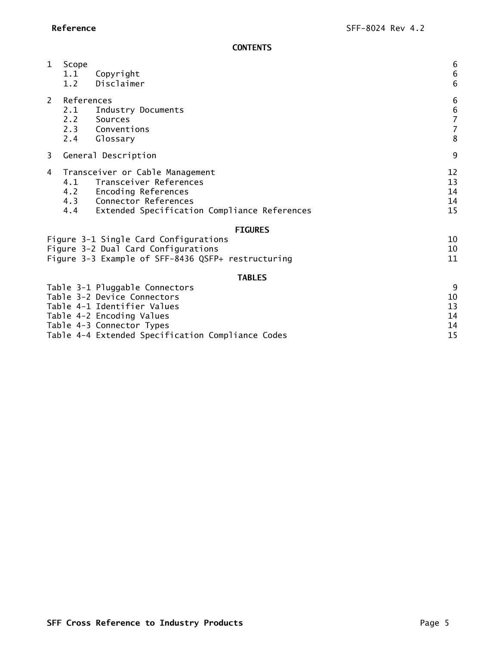**CONTENTS**

| $\mathbf{1}$   | Scope<br>1.1<br>1.2 | Copyright<br>Disclaimer                                                                                                                                              | $\boldsymbol{6}$<br>$\boldsymbol{6}$<br>$\boldsymbol{6}$            |
|----------------|---------------------|----------------------------------------------------------------------------------------------------------------------------------------------------------------------|---------------------------------------------------------------------|
| $\overline{2}$ | References<br>2.1   | Industry Documents<br>2.2 Sources<br>2.3 Conventions<br>2.4 Glossary                                                                                                 | $\boldsymbol{6}$<br>$\begin{array}{c} 6 \\ 7 \\ 7 \end{array}$<br>8 |
| $\overline{3}$ |                     | General Description                                                                                                                                                  | 9                                                                   |
| 4              | 4.1                 | Transceiver or Cable Management<br>Transceiver References<br>4.2 Encoding References<br>4.3 Connector References<br>4.4 Extended Specification Compliance References | 12<br>13<br>14<br>14<br>15                                          |
|                |                     | <b>FIGURES</b>                                                                                                                                                       |                                                                     |
|                |                     | Figure 3-1 Single Card Configurations<br>Figure 3-2 Dual Card Configurations<br>Figure 3-3 Example of SFF-8436 QSFP+ restructuring                                   | 10<br>10<br>11                                                      |
|                |                     | <b>TABLES</b>                                                                                                                                                        |                                                                     |
|                |                     | Table 3-1 Pluggable Connectors<br>Table 3-2 Device Connectors<br>Table 4-1 Identifier Values<br>Table 4-2 Encoding Values                                            | 9<br>10<br>13<br>14<br>14                                           |
|                |                     | Table 4-3 Connector Types                                                                                                                                            |                                                                     |

[Table 4-4 Extended Specification Compliance Codes](#page-14-1) 15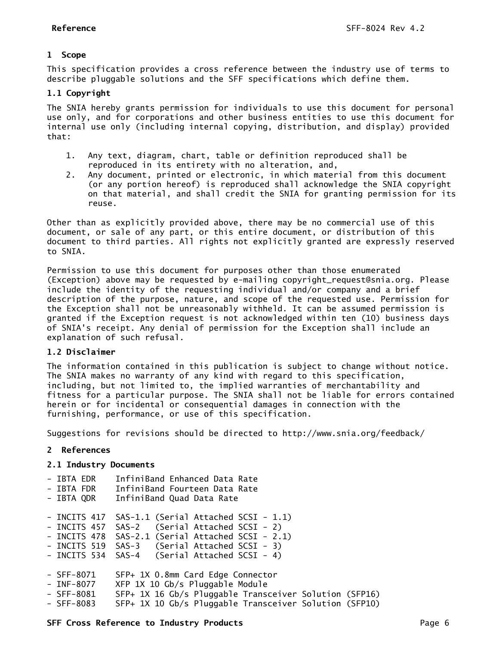# <span id="page-5-0"></span>**1 Scope**

This specification provides a cross reference between the industry use of terms to describe pluggable solutions and the SFF specifications which define them.

# <span id="page-5-1"></span>**1.1 Copyright**

The SNIA hereby grants permission for individuals to use this document for personal use only, and for corporations and other business entities to use this document for internal use only (including internal copying, distribution, and display) provided that:

- 1. Any text, diagram, chart, table or definition reproduced shall be reproduced in its entirety with no alteration, and,
- 2. Any document, printed or electronic, in which material from this document (or any portion hereof) is reproduced shall acknowledge the SNIA copyright on that material, and shall credit the SNIA for granting permission for its reuse.

Other than as explicitly provided above, there may be no commercial use of this document, or sale of any part, or this entire document, or distribution of this document to third parties. All rights not explicitly granted are expressly reserved to SNIA.

Permission to use this document for purposes other than those enumerated (Exception) above may be requested by e-mailing copyright\_request@snia.org. Please include the identity of the requesting individual and/or company and a brief description of the purpose, nature, and scope of the requested use. Permission for the Exception shall not be unreasonably withheld. It can be assumed permission is granted if the Exception request is not acknowledged within ten (10) business days of SNIA's receipt. Any denial of permission for the Exception shall include an explanation of such refusal.

# <span id="page-5-2"></span>**1.2 Disclaimer**

The information contained in this publication is subject to change without notice. The SNIA makes no warranty of any kind with regard to this specification, including, but not limited to, the implied warranties of merchantability and fitness for a particular purpose. The SNIA shall not be liable for errors contained herein or for incidental or consequential damages in connection with the furnishing, performance, or use of this specification.

Suggestions for revisions should be directed to http://www.snia.org/feedback/

# <span id="page-5-3"></span>**2 References**

# <span id="page-5-4"></span>**2.1 Industry Documents**

| - IBTA EDR | InfiniBand Enhanced Data Rate |  |  |
|------------|-------------------------------|--|--|
|            |                               |  |  |

- IBTA FDR InfiniBand Fourteen Data Rate
- IBTA QDR InfiniBand Quad Data Rate

- INCITS 417 SAS-1.1 (Serial Attached SCSI - 1.1)

- INCITS 457 SAS-2 (Serial Attached SCSI 2) - INCITS 478 SAS-2.1 (Serial Attached SCSI - 2.1)
- INCITS 519 SAS-3 (Serial Attached SCSI 3)
- INCITS 534 SAS-4 (Serial Attached SCSI 4)
- SFF-8071 SFP+ 1X 0.8mm Card Edge Connector
- 
- INF-8077 XFP 1X 10 Gb/s Pluggable Module<br>- SFF-8081 SFP+ 1X 16 Gb/s Pluggable Trans SFP+ 1X 16 Gb/s Pluggable Transceiver Solution (SFP16)
- SFF-8083 SFP+ 1X 10 Gb/s Pluggable Transceiver Solution (SFP10)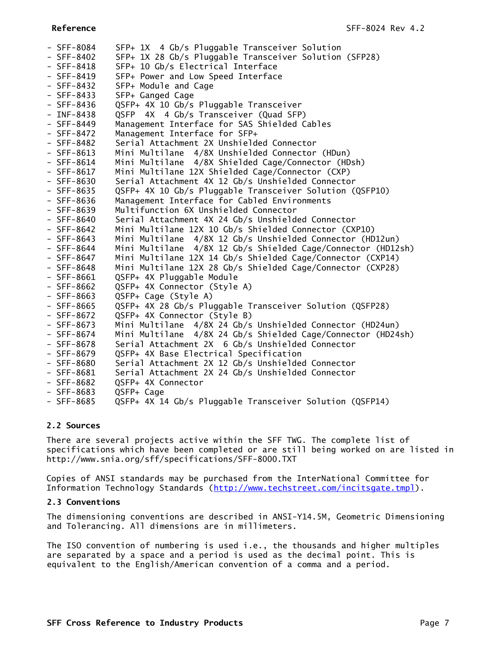| $-$ SFF-8084 | SFP+ 1X 4 Gb/s Pluggable Transceiver Solution                |
|--------------|--------------------------------------------------------------|
| $-$ SFF-8402 | SFP+ 1X 28 Gb/s Pluggable Transceiver Solution (SFP28)       |
| $-$ SFF-8418 | SFP+ 10 Gb/s Electrical Interface                            |
| $-$ SFF-8419 | SFP+ Power and Low Speed Interface                           |
| $-$ SFF-8432 | SFP+ Module and Cage                                         |
| $-$ SFF-8433 | SFP+ Ganged Cage                                             |
| $-$ SFF-8436 | QSFP+ 4X 10 Gb/s Pluggable Transceiver                       |
| $-$ INF-8438 | QSFP 4X 4 Gb/s Transceiver (Quad SFP)                        |
| $-$ SFF-8449 | Management Interface for SAS Shielded Cables                 |
| $-$ SFF-8472 | Management Interface for SFP+                                |
| $-$ SFF-8482 | Serial Attachment 2X Unshielded Connector                    |
| $-$ SFF-8613 | Mini Multilane 4/8X Unshielded Connector (HDun)              |
| $-$ SFF-8614 | Mini Multilane 4/8X Shielded Cage/Connector (HDsh)           |
| $-$ SFF-8617 | Mini Multilane 12X Shielded Cage/Connector (CXP)             |
| $-$ SFF-8630 | Serial Attachment 4X 12 Gb/s Unshielded Connector            |
| $-$ SFF-8635 | QSFP+ 4X 10 Gb/s Pluggable Transceiver Solution (QSFP10)     |
| $-$ SFF-8636 | Management Interface for Cabled Environments                 |
| - SFF-8639   | Multifunction 6X Unshielded Connector                        |
| $-$ SFF-8640 | Serial Attachment 4X 24 Gb/s Unshielded Connector            |
| $-$ SFF-8642 | Mini Multilane 12X 10 Gb/s Shielded Connector (CXP10)        |
| $-$ SFF-8643 | Mini Multilane 4/8X 12 Gb/s Unshielded Connector (HD12un)    |
| $-$ SFF-8644 | Mini Multilane 4/8X 12 Gb/s Shielded Cage/Connector (HD12sh) |
| $-$ SFF-8647 | Mini Multilane 12X 14 Gb/s Shielded Cage/Connector (CXP14)   |
| $-$ SFF-8648 | Mini Multilane 12X 28 Gb/s Shielded Cage/Connector (CXP28)   |
| $-$ SFF-8661 | QSFP+ 4X Pluggable Module                                    |
| $-$ SFF-8662 | QSFP+ 4X Connector (Style A)                                 |
| $-$ SFF-8663 | QSFP+ Cage (Style A)                                         |
| $-$ SFF-8665 | QSFP+ 4X 28 Gb/s Pluggable Transceiver Solution (QSFP28)     |
| $-$ SFF-8672 | QSFP+ 4X Connector (Style B)                                 |
| $-$ SFF-8673 | Mini Multilane 4/8X 24 Gb/s Unshielded Connector (HD24un)    |
| $-$ SFF-8674 | Mini Multilane 4/8X 24 Gb/s Shielded Cage/Connector (HD24sh) |
| $-$ SFF-8678 | Serial Attachment 2X 6 Gb/s Unshielded Connector             |
| - SFF-8679   | QSFP+ 4X Base Electrical Specification                       |
| $-$ SFF-8680 | Serial Attachment 2X 12 Gb/s Unshielded Connector            |
| $-$ SFF-8681 | Serial Attachment 2X 24 Gb/s Unshielded Connector            |
| $-$ SFF-8682 | QSFP+ 4X Connector                                           |
| $-$ SFF-8683 | QSFP+ Cage                                                   |
| - SFF-8685   | QSFP+ 4X 14 Gb/s Pluggable Transceiver Solution (QSFP14)     |

## <span id="page-6-0"></span>**2.2 Sources**

There are several projects active within the SFF TWG. The complete list of specifications which have been completed or are still being worked on are listed in http://www.snia.org/sff/specifications/SFF-8000.TXT

Copies of ANSI standards may be purchased from the InterNational Committee for Information Technology Standards [\(http://www.techstreet.com/incitsgate.tmpl\)](http://www.techstreet.com/incitsgate.tmpl).

# <span id="page-6-1"></span>**2.3 Conventions**

The dimensioning conventions are described in ANSI-Y14.5M, Geometric Dimensioning and Tolerancing. All dimensions are in millimeters.

The ISO convention of numbering is used i.e., the thousands and higher multiples are separated by a space and a period is used as the decimal point. This is equivalent to the English/American convention of a comma and a period.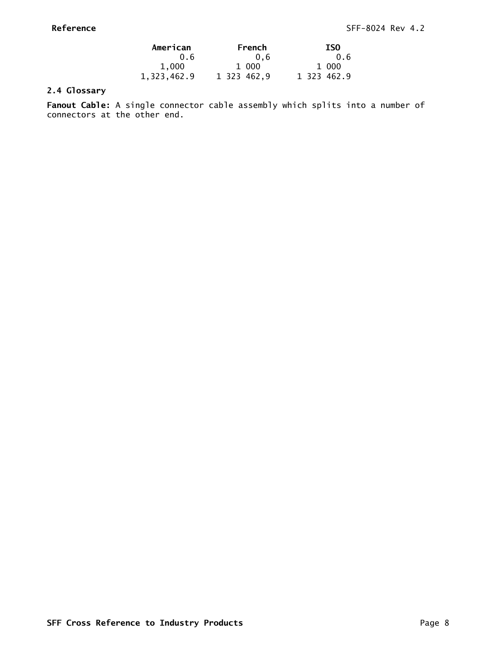| American    | French      | <b>ISO</b>  |
|-------------|-------------|-------------|
| 0.6         | 0.6         | 0.6         |
| 1,000       | 1 000       | 1 000       |
| 1,323,462.9 | 1 323 462,9 | 1 323 462.9 |

# <span id="page-7-0"></span>**2.4 Glossary**

**Fanout Cable:** A single connector cable assembly which splits into a number of connectors at the other end.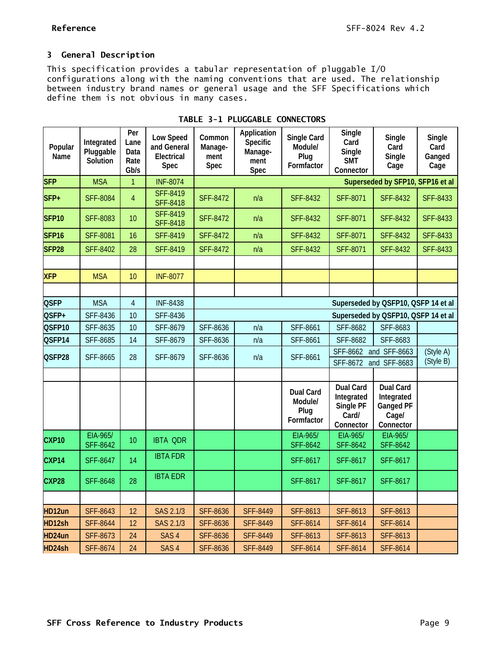$\overline{\phantom{0}}$ 

# <span id="page-8-0"></span>**3 General Description**

This specification provides a tabular representation of pluggable I/O configurations along with the naming conventions that are used. The relationship between industry brand names or general usage and the SFF Specifications which define them is not obvious in many cases.

<span id="page-8-1"></span>

| Popular<br>Name   | Integrated<br>Pluggable<br>Solution | Per<br>Lane<br>Data<br>Rate<br>Gb/s | <b>Low Speed</b><br>and General<br>Electrical<br>Spec | Common<br>Manage-<br>ment<br>Spec | Application<br>Specific<br>Manage-<br>ment<br>Spec | Single Card<br>Module/<br>Plug<br>Formfactor      | Single<br>Card<br>Single<br><b>SMT</b><br>Connector               | Single<br>Card<br>Single<br>Cage                                         | Single<br>Card<br>Ganged<br>Cage |
|-------------------|-------------------------------------|-------------------------------------|-------------------------------------------------------|-----------------------------------|----------------------------------------------------|---------------------------------------------------|-------------------------------------------------------------------|--------------------------------------------------------------------------|----------------------------------|
| <b>SFP</b>        | <b>MSA</b>                          | 1                                   | <b>INF-8074</b>                                       |                                   |                                                    |                                                   |                                                                   | Superseded by SFP10, SFP16 et al                                         |                                  |
| SFP+              | <b>SFF-8084</b>                     | $\overline{4}$                      | <b>SFF-8419</b><br><b>SFF-8418</b>                    | <b>SFF-8472</b>                   | n/a                                                | <b>SFF-8432</b>                                   | <b>SFF-8071</b>                                                   | <b>SFF-8432</b>                                                          | <b>SFF-8433</b>                  |
| <b>SFP10</b>      | <b>SFF-8083</b>                     | 10                                  | <b>SFF-8419</b><br><b>SFF-8418</b>                    | <b>SFF-8472</b>                   | n/a                                                | <b>SFF-8432</b>                                   | <b>SFF-8071</b>                                                   | <b>SFF-8432</b>                                                          | <b>SFF-8433</b>                  |
| SFP <sub>16</sub> | <b>SFF-8081</b>                     | 16                                  | <b>SFF-8419</b>                                       | <b>SFF-8472</b>                   | n/a                                                | <b>SFF-8432</b>                                   | <b>SFF-8071</b>                                                   | <b>SFF-8432</b>                                                          | <b>SFF-8433</b>                  |
| SFP <sub>28</sub> | <b>SFF-8402</b>                     | 28                                  | <b>SFF-8419</b>                                       | <b>SFF-8472</b>                   | n/a                                                | <b>SFF-8432</b>                                   | <b>SFF-8071</b>                                                   | <b>SFF-8432</b>                                                          | <b>SFF-8433</b>                  |
|                   |                                     |                                     |                                                       |                                   |                                                    |                                                   |                                                                   |                                                                          |                                  |
| <b>XFP</b>        | <b>MSA</b>                          | 10                                  | <b>INF-8077</b>                                       |                                   |                                                    |                                                   |                                                                   |                                                                          |                                  |
|                   |                                     |                                     |                                                       |                                   |                                                    |                                                   |                                                                   |                                                                          |                                  |
| <b>QSFP</b>       | <b>MSA</b>                          | 4                                   | <b>INF-8438</b>                                       |                                   | Superseded by QSFP10, QSFP 14 et al                |                                                   |                                                                   |                                                                          |                                  |
| QSFP+             | SFF-8436                            | 10                                  | <b>SFF-8436</b>                                       |                                   |                                                    |                                                   | Superseded by QSFP10, QSFP 14 et al                               |                                                                          |                                  |
| QSFP10            | SFF-8635                            | 10                                  | <b>SFF-8679</b>                                       | SFF-8636                          | n/a                                                | <b>SFF-8661</b>                                   | <b>SFF-8682</b>                                                   | <b>SFF-8683</b>                                                          |                                  |
| QSFP14            | <b>SFF-8685</b>                     | 14                                  | SFF-8679                                              | SFF-8636                          | n/a                                                | <b>SFF-8661</b>                                   | SFF-8682                                                          | SFF-8683                                                                 |                                  |
| QSFP28            | SFF-8665                            | 28                                  | <b>SFF-8679</b>                                       | SFF-8636                          | n/a                                                | SFF-8662<br>SFF-8661                              |                                                                   | and SFF-8663                                                             | (Style A)<br>(Style B)           |
|                   |                                     |                                     |                                                       |                                   |                                                    |                                                   | SFF-8672                                                          | and SFF-8683                                                             |                                  |
|                   |                                     |                                     |                                                       |                                   |                                                    | <b>Dual Card</b><br>Module/<br>Plug<br>Formfactor | <b>Dual Card</b><br>Integrated<br>Single PF<br>Card/<br>Connector | <b>Dual Card</b><br>Integrated<br><b>Ganged PF</b><br>Cage/<br>Connector |                                  |
| CXP <sub>10</sub> | EIA-965/<br><b>SFF-8642</b>         | 10                                  | <b>IBTA QDR</b>                                       |                                   |                                                    | EIA-965/<br><b>SFF-8642</b>                       | EIA-965/<br><b>SFF-8642</b>                                       | EIA-965/<br><b>SFF-8642</b>                                              |                                  |
| CXP14             | <b>SFF-8647</b>                     | 14                                  | <b>IBTA FDR</b>                                       |                                   |                                                    | <b>SFF-8617</b>                                   | <b>SFF-8617</b>                                                   | <b>SFF-8617</b>                                                          |                                  |
| CXP28             | <b>SFF-8648</b>                     | 28                                  | <b>IBTA EDR</b>                                       |                                   |                                                    | <b>SFF-8617</b>                                   | <b>SFF-8617</b>                                                   | <b>SFF-8617</b>                                                          |                                  |
|                   |                                     |                                     |                                                       |                                   |                                                    |                                                   |                                                                   |                                                                          |                                  |
| HD12un            | <b>SFF-8643</b>                     | 12                                  | SAS 2.1/3                                             | <b>SFF-8636</b>                   | <b>SFF-8449</b>                                    | <b>SFF-8613</b>                                   | <b>SFF-8613</b>                                                   | <b>SFF-8613</b>                                                          |                                  |
| HD12sh            | <b>SFF-8644</b>                     | 12                                  | <b>SAS 2.1/3</b>                                      | <b>SFF-8636</b>                   | <b>SFF-8449</b>                                    | <b>SFF-8614</b>                                   | <b>SFF-8614</b>                                                   | <b>SFF-8614</b>                                                          |                                  |
| HD24un            | <b>SFF-8673</b>                     | 24                                  | SAS <sub>4</sub>                                      | <b>SFF-8636</b>                   | <b>SFF-8449</b>                                    | <b>SFF-8613</b>                                   | <b>SFF-8613</b>                                                   | <b>SFF-8613</b>                                                          |                                  |
| HD24sh            | <b>SFF-8674</b>                     | 24                                  | SAS <sub>4</sub>                                      | <b>SFF-8636</b>                   | <b>SFF-8449</b>                                    | <b>SFF-8614</b>                                   | <b>SFF-8614</b>                                                   | <b>SFF-8614</b>                                                          |                                  |

**TABLE 3-1 PLUGGABLE CONNECTORS**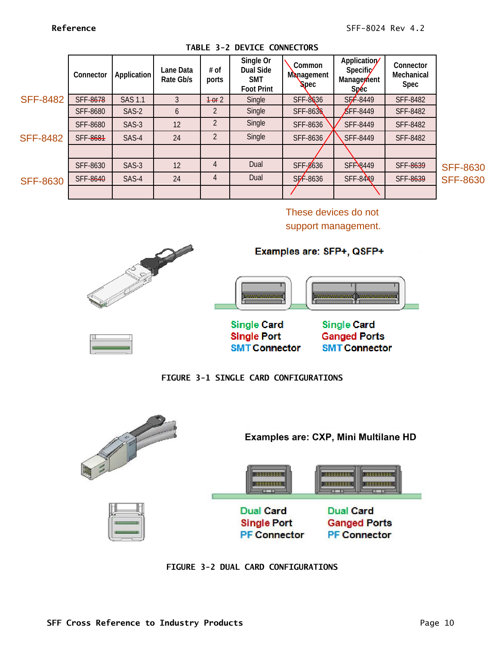<span id="page-9-2"></span>

|                 | Connector       | <b>Application</b> | Lane Data<br>Rate Gb/s | # of<br>ports  | Single Or<br>Dual Side<br><b>SMT</b><br><b>Foot Print</b> | Common<br><b>Management</b><br><b>Spec</b> | Application/<br>Specific<br>Managerhent<br>Sp <sub>ec</sub> | Connector<br>Mechanical<br>Spec |                 |
|-----------------|-----------------|--------------------|------------------------|----------------|-----------------------------------------------------------|--------------------------------------------|-------------------------------------------------------------|---------------------------------|-----------------|
| <b>SFF-8482</b> | SFF-8678        | <b>SAS 1.1</b>     |                        | $+$ or 2       | Single                                                    | SFF-8636                                   | $SFF - 8449$                                                | <b>SFF-8482</b>                 |                 |
|                 | <b>SFF-8680</b> | SAS-2              | 6                      |                | Single                                                    | <b>SFF-8636</b>                            | $\S$ FF-8449                                                | <b>SFF-8482</b>                 |                 |
|                 | <b>SFF-8680</b> | SAS-3              | 12                     | $\overline{2}$ | Single                                                    | SFF-8636                                   | <b>SFF-8449</b>                                             | <b>SFF-8482</b>                 |                 |
| <b>SFF-8482</b> | SFF-8681        | SAS-4              | 24                     | $\overline{2}$ | Single                                                    | SFF-8636                                   | <b>SFF-8449</b>                                             | <b>SFF-8482</b>                 |                 |
|                 |                 |                    |                        |                |                                                           |                                            |                                                             |                                 |                 |
|                 | SFF-8630        | SAS-3              | 12                     | 4              | Dual                                                      | SFF-8636                                   | SFF-8449                                                    | SFF-8639                        | <b>SFF-8630</b> |
| <b>SFF-8630</b> | SFF-8640        | SAS-4              | 24                     | 4              | Dual                                                      | $SF-8636$                                  | <b>SFF-8449</b>                                             | SFF-8639                        | <b>SFF-8630</b> |
|                 |                 |                    |                        |                |                                                           |                                            |                                                             |                                 |                 |

**TABLE 3-2 DEVICE CONNECTORS**

SFF-8630

These devices do not support management.



**FIGURE 3-1 SINGLE CARD CONFIGURATIONS**

**SMT Connector** 

<span id="page-9-1"></span><span id="page-9-0"></span>

**FIGURE 3-2 DUAL CARD CONFIGURATIONS**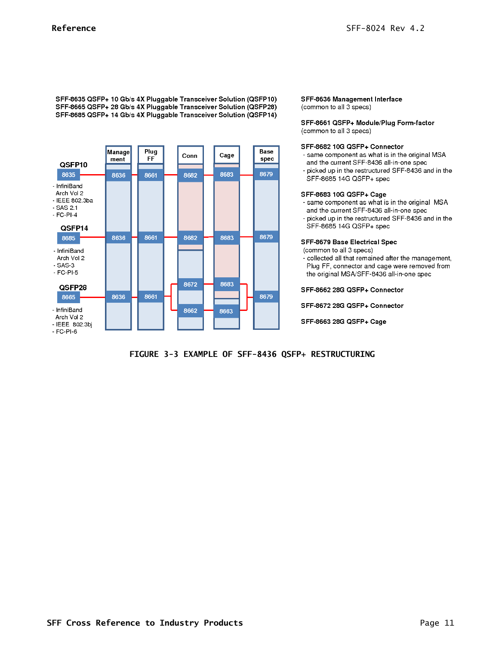SFF-8635 QSFP+ 10 Gb/s 4X Pluggable Transceiver Solution (QSFP10) SFF-8665 QSFP+ 28 Gb/s 4X Pluggable Transceiver Solution (QSFP28) SFF-8685 QSFP+ 14 Gb/s 4X Pluggable Transceiver Solution (QSFP14)



### SFF-8636 Management Interface (common to all 3 specs)

SFF-8661 QSFP+ Module/Plug Form-factor (common to all 3 specs)

### SFF-8682 10G QSFP+ Connector

- same component as what is in the original MSA and the current SFF-8436 all-in-one spec
- picked up in the restructured SFF-8436 and in the SFF-8685 14G QSFP+ spec

### SFF-8683 10G QSFP+ Cage

- same component as what is in the original MSA and the current SFF-8436 all-in-one spec
- picked up in the restructured SFF-8436 and in the SFF-8685 14G QSFP+ spec

## SFF-8679 Base Electrical Spec

(common to all 3 specs)

- collected all that remained after the management, Plug FF, connector and cage were removed from the original MSA/SFF-8436 all-in-one spec

SFF-8662 28G QSFP+ Connector

SFF-8672 28G QSFP+ Connector

SFF-8663 28G QSFP+ Cage

<span id="page-10-0"></span>**FIGURE 3-3 EXAMPLE OF SFF-8436 QSFP+ RESTRUCTURING**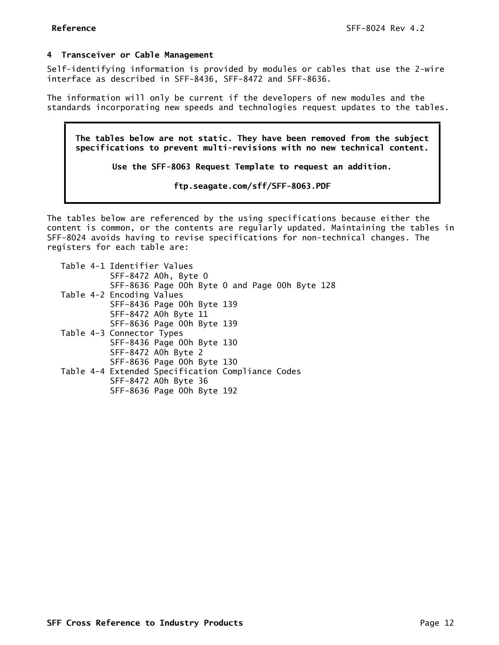## <span id="page-11-0"></span>**4 Transceiver or Cable Management**

Self-identifying information is provided by modules or cables that use the 2-wire interface as described in SFF-8436, SFF-8472 and SFF-8636.

The information will only be current if the developers of new modules and the standards incorporating new speeds and technologies request updates to the tables.

**The tables below are not static. They have been removed from the subject specifications to prevent multi-revisions with no new technical content.**

**Use the SFF-8063 Request Template to request an addition.**

**[ftp.seagate.com/sff/SFF-8063.PDF](ftp://ftp.seagate.com/sff/SFF-8063.PDF)**

The tables below are referenced by the using specifications because either the content is common, or the contents are regularly updated. Maintaining the tables in SFF-8024 avoids having to revise specifications for non-technical changes. The registers for each table are:

| Table 4-1 Identifier Values                       |
|---------------------------------------------------|
| SFF-8472 AOh, Byte O                              |
| SFF-8636 Page 00h Byte 0 and Page 00h Byte 128    |
| Table 4-2 Encoding Values                         |
| SFF-8436 Page 00h Byte 139                        |
| SFF-8472 A0h Byte 11                              |
| SFF-8636 Page 00h Byte 139                        |
| Table 4-3 Connector Types                         |
| SFF-8436 Page 00h Byte 130                        |
| SFF-8472 A0h Byte 2                               |
| SFF-8636 Page 00h Byte 130                        |
| Table 4-4 Extended Specification Compliance Codes |
| SFF-8472 A0h Byte 36                              |
| SFF-8636 Page 00h Byte 192                        |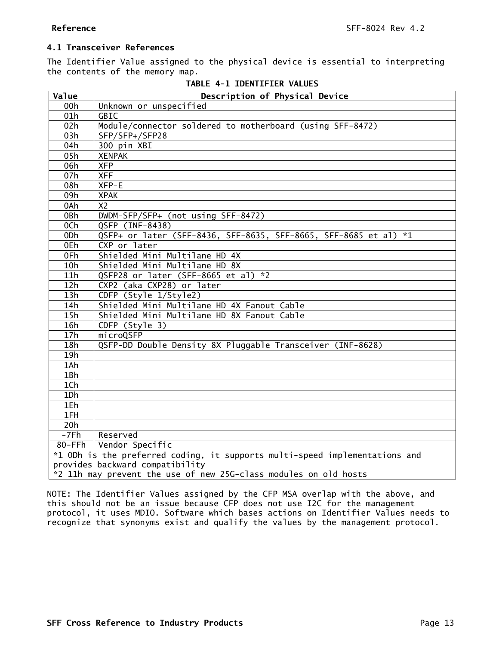# <span id="page-12-0"></span>**4.1 Transceiver References**

The Identifier Value assigned to the physical device is essential to interpreting the contents of the memory map.

<span id="page-12-1"></span>

| Value                                                            | Description of Physical Device                                              |  |  |  |  |  |
|------------------------------------------------------------------|-----------------------------------------------------------------------------|--|--|--|--|--|
| 00h                                                              | Unknown or unspecified                                                      |  |  |  |  |  |
| 01h                                                              | <b>GBIC</b>                                                                 |  |  |  |  |  |
| 02h                                                              | Module/connector soldered to motherboard (using SFF-8472)                   |  |  |  |  |  |
| 03h                                                              | SFP/SFP+/SFP28                                                              |  |  |  |  |  |
| 04h                                                              | 300 pin XBI                                                                 |  |  |  |  |  |
| 05h                                                              | <b>XENPAK</b>                                                               |  |  |  |  |  |
| 06h                                                              | <b>XFP</b>                                                                  |  |  |  |  |  |
| 07h                                                              | <b>XFF</b>                                                                  |  |  |  |  |  |
| 08h                                                              | $XFP-E$                                                                     |  |  |  |  |  |
| 09h                                                              | <b>XPAK</b>                                                                 |  |  |  |  |  |
| 0Ah                                                              | X <sub>2</sub>                                                              |  |  |  |  |  |
| 0Bh                                                              | DWDM-SFP/SFP+ (not using SFF-8472)                                          |  |  |  |  |  |
| 0Ch                                                              | QSFP (INF-8438)                                                             |  |  |  |  |  |
| 0 <sub>Dh</sub>                                                  | QSFP+ or later (SFF-8436, SFF-8635, SFF-8665, SFF-8685 et al) *1            |  |  |  |  |  |
| 0Eh                                                              | CXP or later                                                                |  |  |  |  |  |
| 0Fh                                                              | Shielded Mini Multilane HD 4X                                               |  |  |  |  |  |
| 10h                                                              | Shielded Mini Multilane HD 8X                                               |  |  |  |  |  |
| 11h                                                              | QSFP28 or later (SFF-8665 et al) *2                                         |  |  |  |  |  |
| 12h                                                              | CXP2 (aka CXP28) or later                                                   |  |  |  |  |  |
| 13h                                                              | CDFP (Style 1/Style2)                                                       |  |  |  |  |  |
| 14h                                                              | Shielded Mini Multilane HD 4X Fanout Cable                                  |  |  |  |  |  |
| 15h                                                              | Shielded Mini Multilane HD 8X Fanout Cable                                  |  |  |  |  |  |
| 16h                                                              | CDFP (Style 3)                                                              |  |  |  |  |  |
| 17h                                                              | microQSFP                                                                   |  |  |  |  |  |
| 18h                                                              | QSFP-DD Double Density 8X Pluggable Transceiver (INF-8628)                  |  |  |  |  |  |
| 19h                                                              |                                                                             |  |  |  |  |  |
| 1Ah                                                              |                                                                             |  |  |  |  |  |
| 1Bh                                                              |                                                                             |  |  |  |  |  |
| 1Ch                                                              |                                                                             |  |  |  |  |  |
| 1Dh                                                              |                                                                             |  |  |  |  |  |
| 1Eh                                                              |                                                                             |  |  |  |  |  |
| 1FH                                                              |                                                                             |  |  |  |  |  |
| 20h                                                              |                                                                             |  |  |  |  |  |
| $-7Fh$                                                           | Reserved                                                                    |  |  |  |  |  |
| 80-FFh                                                           | Vendor Specific                                                             |  |  |  |  |  |
|                                                                  | *1 ODh is the preferred coding, it supports multi-speed implementations and |  |  |  |  |  |
| provides backward compatibility                                  |                                                                             |  |  |  |  |  |
| *2 11h may prevent the use of new 25G-class modules on old hosts |                                                                             |  |  |  |  |  |

**TABLE 4-1 IDENTIFIER VALUES** 

NOTE: The Identifier Values assigned by the CFP MSA overlap with the above, and this should not be an issue because CFP does not use I2C for the management protocol, it uses MDIO. Software which bases actions on Identifier Values needs to recognize that synonyms exist and qualify the values by the management protocol.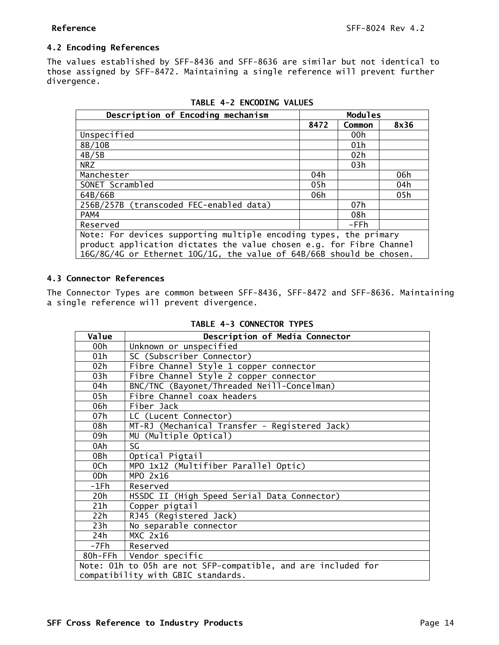# <span id="page-13-0"></span>**4.2 Encoding References**

The values established by SFF-8436 and SFF-8636 are similar but not identical to those assigned by SFF-8472. Maintaining a single reference will prevent further divergence.

<span id="page-13-2"></span>

| Description of Encoding mechanism                                    |      | <b>Modules</b> |      |  |  |
|----------------------------------------------------------------------|------|----------------|------|--|--|
|                                                                      | 8472 | Common         | 8x36 |  |  |
| Unspecified                                                          |      | 00h            |      |  |  |
| 8B/10B                                                               |      | 01h            |      |  |  |
| 4B/5B                                                                |      | 02h            |      |  |  |
| NRZ                                                                  |      | 03h            |      |  |  |
| Manchester                                                           | 04h  |                | 06h  |  |  |
| SONET Scrambled                                                      | 05h  |                | 04h  |  |  |
| 64B/66B                                                              | 06h  |                | 05h  |  |  |
| 256B/257B (transcoded FEC-enabled data)                              |      | 07h            |      |  |  |
| PAM4                                                                 |      | 08h            |      |  |  |
| Reserved                                                             |      | -FFh           |      |  |  |
| Note: For devices supporting multiple encoding types, the primary    |      |                |      |  |  |
| product application dictates the value chosen e.g. for Fibre Channel |      |                |      |  |  |
| 16G/8G/4G or Ethernet 10G/1G, the value of 64B/66B should be chosen. |      |                |      |  |  |

# <span id="page-13-1"></span>**4.3 Connector References**

<span id="page-13-3"></span>The Connector Types are common between SFF-8436, SFF-8472 and SFF-8636. Maintaining a single reference will prevent divergence.

| TABLE 4-3 CONNECTOR TYPES |  |
|---------------------------|--|
|---------------------------|--|

| Value                              | Description of Media Connector                                |
|------------------------------------|---------------------------------------------------------------|
| 00h                                | Unknown or unspecified                                        |
| 01h                                | SC (Subscriber Connector)                                     |
| 02h                                | Fibre Channel Style 1 copper connector                        |
| 03h                                | Fibre Channel Style 2 copper connector                        |
| 04h                                | BNC/TNC (Bayonet/Threaded Neill-Concelman)                    |
| 05h                                | Fibre Channel coax headers                                    |
| 06h                                | Fiber Jack                                                    |
| 07h                                | LC (Lucent Connector)                                         |
| 08h                                | MT-RJ (Mechanical Transfer - Registered Jack)                 |
| 09h                                | MU (Multiple Optical)                                         |
| 0Ah                                | SG                                                            |
| 0Bh                                | Optical Pigtail                                               |
| 0Ch                                | MPO 1x12 (Multifiber Parallel Optic)                          |
| 0Dh                                | MPO 2x16                                                      |
| -1Fh                               | Reserved                                                      |
| 20h                                | HSSDC II (High Speed Serial Data Connector)                   |
| 21h                                | Copper pigtail                                                |
| 22h                                | RJ45 (Registered Jack)                                        |
| 23h                                | No separable connector                                        |
| 24h                                | <b>MXC 2x16</b>                                               |
| -7Fh                               | Reserved                                                      |
|                                    | 80h-FFh   Vendor specific                                     |
|                                    | Note: 01h to 05h are not SFP-compatible, and are included for |
| compatibility with GBIC standards. |                                                               |